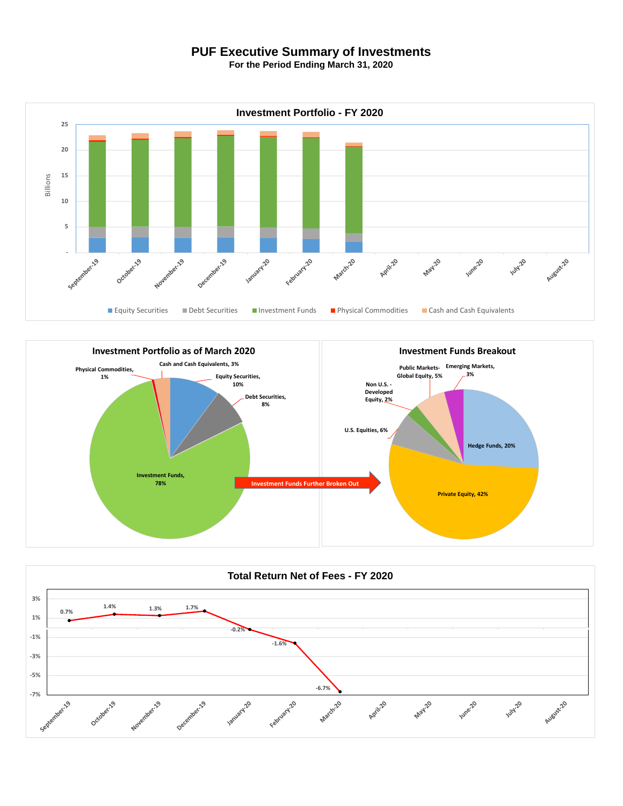## **PUF Executive Summary of Investments**

**For the Period Ending March 31, 2020**